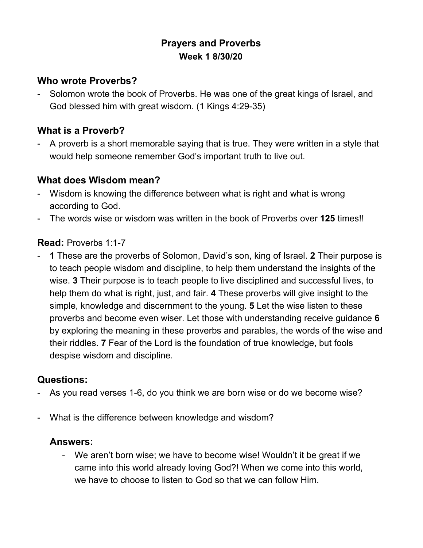# **Prayers and Proverbs Week 1 8/30/20**

## **Who wrote Proverbs?**

- Solomon wrote the book of Proverbs. He was one of the great kings of Israel, and God blessed him with great wisdom. (1 Kings 4:29-35)

# **What is a Proverb?**

- A proverb is a short memorable saying that is true. They were written in a style that would help someone remember God's important truth to live out.

## **What does Wisdom mean?**

- Wisdom is knowing the difference between what is right and what is wrong according to God.
- The words wise or wisdom was written in the book of Proverbs over **125** times!!

#### **Read:** Proverbs 1:1-7

- **1** These are the proverbs of Solomon, David's son, king of Israel. **2** Their purpose is to teach people wisdom and discipline, to help them understand the insights of the wise. **3** Their purpose is to teach people to live disciplined and successful lives, to help them do what is right, just, and fair. **4** These proverbs will give insight to the simple, knowledge and discernment to the young. **5** Let the wise listen to these proverbs and become even wiser. Let those with understanding receive guidance **6** by exploring the meaning in these proverbs and parables, the words of the wise and their riddles. **7** Fear of the Lord is the foundation of true knowledge, but fools despise wisdom and discipline.

# **Questions:**

- As you read verses 1-6, do you think we are born wise or do we become wise?
- What is the difference between knowledge and wisdom?

# **Answers:**

- We aren't born wise; we have to become wise! Wouldn't it be great if we came into this world already loving God?! When we come into this world, we have to choose to listen to God so that we can follow Him.